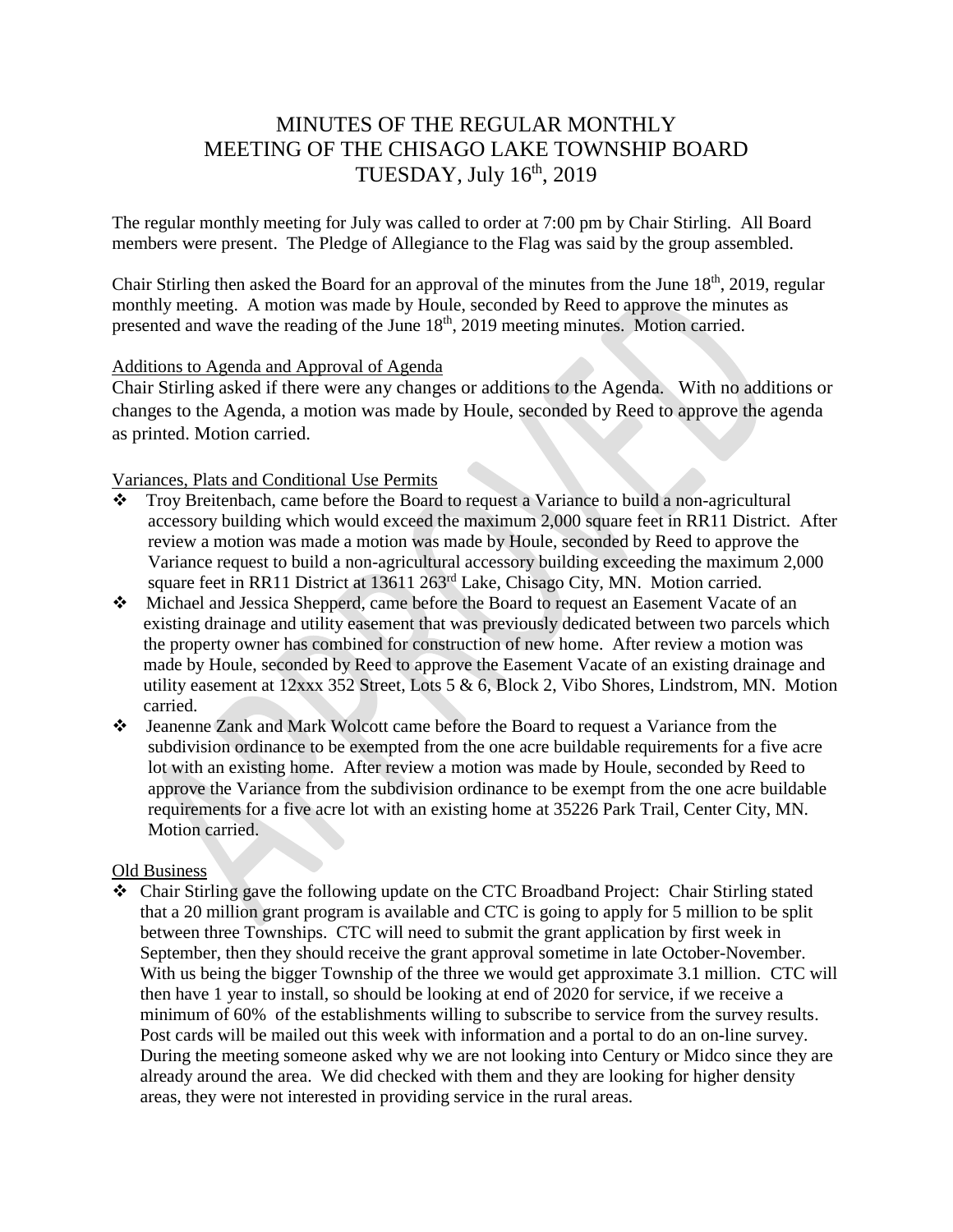# MINUTES OF THE REGULAR MONTHLY MEETING OF THE CHISAGO LAKE TOWNSHIP BOARD TUESDAY, July  $16<sup>th</sup>$ , 2019

The regular monthly meeting for July was called to order at 7:00 pm by Chair Stirling. All Board members were present. The Pledge of Allegiance to the Flag was said by the group assembled.

Chair Stirling then asked the Board for an approval of the minutes from the June  $18<sup>th</sup>$ , 2019, regular monthly meeting. A motion was made by Houle, seconded by Reed to approve the minutes as presented and wave the reading of the June  $18<sup>th</sup>$ , 2019 meeting minutes. Motion carried.

#### Additions to Agenda and Approval of Agenda

Chair Stirling asked if there were any changes or additions to the Agenda. With no additions or changes to the Agenda, a motion was made by Houle, seconded by Reed to approve the agenda as printed. Motion carried.

## Variances, Plats and Conditional Use Permits

- \* Troy Breitenbach, came before the Board to request a Variance to build a non-agricultural accessory building which would exceed the maximum 2,000 square feet in RR11 District. After review a motion was made a motion was made by Houle, seconded by Reed to approve the Variance request to build a non-agricultural accessory building exceeding the maximum 2,000 square feet in RR11 District at 13611 263<sup>rd</sup> Lake, Chisago City, MN. Motion carried.
- Michael and Jessica Shepperd, came before the Board to request an Easement Vacate of an existing drainage and utility easement that was previously dedicated between two parcels which the property owner has combined for construction of new home. After review a motion was made by Houle, seconded by Reed to approve the Easement Vacate of an existing drainage and utility easement at 12xxx 352 Street, Lots 5 & 6, Block 2, Vibo Shores, Lindstrom, MN. Motion carried.
- Jeanenne Zank and Mark Wolcott came before the Board to request a Variance from the subdivision ordinance to be exempted from the one acre buildable requirements for a five acre lot with an existing home. After review a motion was made by Houle, seconded by Reed to approve the Variance from the subdivision ordinance to be exempt from the one acre buildable requirements for a five acre lot with an existing home at 35226 Park Trail, Center City, MN. Motion carried.

#### Old Business

 Chair Stirling gave the following update on the CTC Broadband Project: Chair Stirling stated that a 20 million grant program is available and CTC is going to apply for 5 million to be split between three Townships. CTC will need to submit the grant application by first week in September, then they should receive the grant approval sometime in late October-November. With us being the bigger Township of the three we would get approximate 3.1 million. CTC will then have 1 year to install, so should be looking at end of 2020 for service, if we receive a minimum of 60% of the establishments willing to subscribe to service from the survey results. Post cards will be mailed out this week with information and a portal to do an on-line survey. During the meeting someone asked why we are not looking into Century or Midco since they are already around the area. We did checked with them and they are looking for higher density areas, they were not interested in providing service in the rural areas.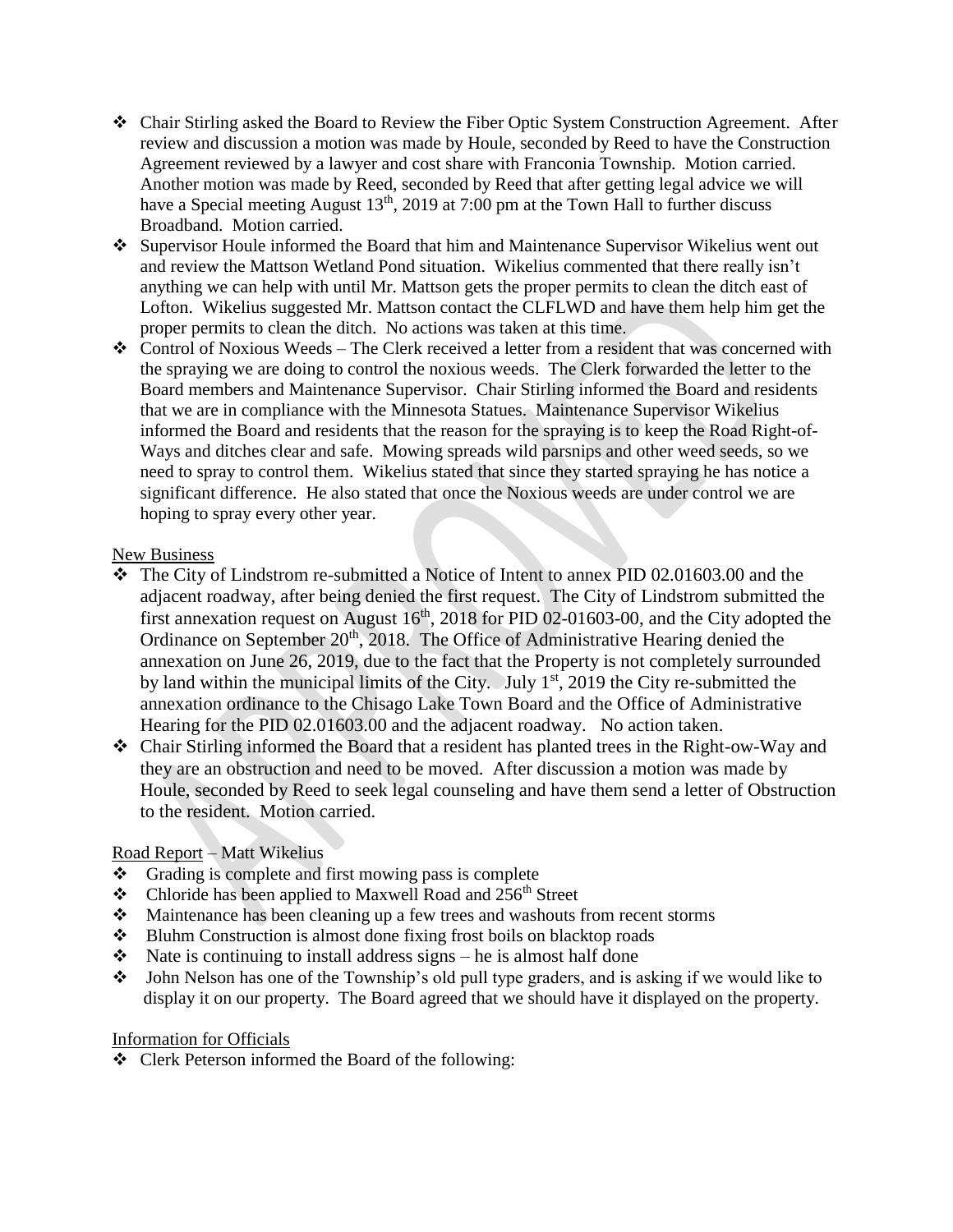- Chair Stirling asked the Board to Review the Fiber Optic System Construction Agreement. After review and discussion a motion was made by Houle, seconded by Reed to have the Construction Agreement reviewed by a lawyer and cost share with Franconia Township. Motion carried. Another motion was made by Reed, seconded by Reed that after getting legal advice we will have a Special meeting August  $13<sup>th</sup>$ , 2019 at 7:00 pm at the Town Hall to further discuss Broadband. Motion carried.
- Supervisor Houle informed the Board that him and Maintenance Supervisor Wikelius went out and review the Mattson Wetland Pond situation. Wikelius commented that there really isn't anything we can help with until Mr. Mattson gets the proper permits to clean the ditch east of Lofton. Wikelius suggested Mr. Mattson contact the CLFLWD and have them help him get the proper permits to clean the ditch. No actions was taken at this time.
- $\triangle$  Control of Noxious Weeds The Clerk received a letter from a resident that was concerned with the spraying we are doing to control the noxious weeds. The Clerk forwarded the letter to the Board members and Maintenance Supervisor. Chair Stirling informed the Board and residents that we are in compliance with the Minnesota Statues. Maintenance Supervisor Wikelius informed the Board and residents that the reason for the spraying is to keep the Road Right-of-Ways and ditches clear and safe. Mowing spreads wild parsnips and other weed seeds, so we need to spray to control them. Wikelius stated that since they started spraying he has notice a significant difference. He also stated that once the Noxious weeds are under control we are hoping to spray every other year.

## New Business

- The City of Lindstrom re-submitted a Notice of Intent to annex PID 02.01603.00 and the adjacent roadway, after being denied the first request. The City of Lindstrom submitted the first annexation request on August  $16<sup>th</sup>$ , 2018 for PID 02-01603-00, and the City adopted the Ordinance on September 20<sup>th</sup>, 2018. The Office of Administrative Hearing denied the annexation on June 26, 2019, due to the fact that the Property is not completely surrounded by land within the municipal limits of the City. July  $1<sup>st</sup>$ , 2019 the City re-submitted the annexation ordinance to the Chisago Lake Town Board and the Office of Administrative Hearing for the PID 02.01603.00 and the adjacent roadway. No action taken.
- Chair Stirling informed the Board that a resident has planted trees in the Right-ow-Way and they are an obstruction and need to be moved. After discussion a motion was made by Houle, seconded by Reed to seek legal counseling and have them send a letter of Obstruction to the resident. Motion carried.

# Road Report – Matt Wikelius

- $\triangle$  Grading is complete and first mowing pass is complete
- $\bullet$  Chloride has been applied to Maxwell Road and 256<sup>th</sup> Street
- Maintenance has been cleaning up a few trees and washouts from recent storms
- Bluhm Construction is almost done fixing frost boils on blacktop roads
- $\triangleleft$  Nate is continuing to install address signs he is almost half done
- John Nelson has one of the Township's old pull type graders, and is asking if we would like to display it on our property. The Board agreed that we should have it displayed on the property.

# Information for Officials

Clerk Peterson informed the Board of the following: